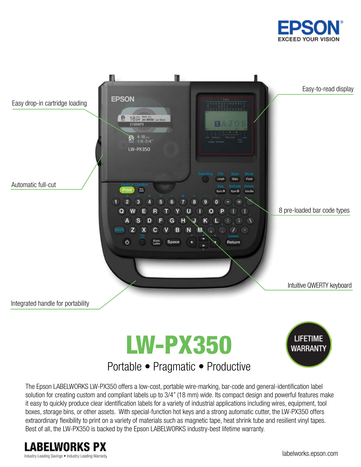







# Portable • Pragmatic • Productive

The Epson LABELWORKS LW-PX350 offers a low-cost, portable wire-marking, bar-code and general-identification label solution for creating custom and compliant labels up to 3/4" (18 mm) wide. Its compact design and powerful features make it easy to quickly produce clear identification labels for a variety of industrial applications including wires, equipment, tool boxes, storage bins, or other assets. With special-function hot keys and a strong automatic cutter, the LW-PX350 offers extraordinary flexibility to print on a variety of materials such as magnetic tape, heat shrink tube and resilient vinyl tapes. Best of all, the LW-PX350 is backed by the Epson LABELWORKS industry-best lifetime warranty.

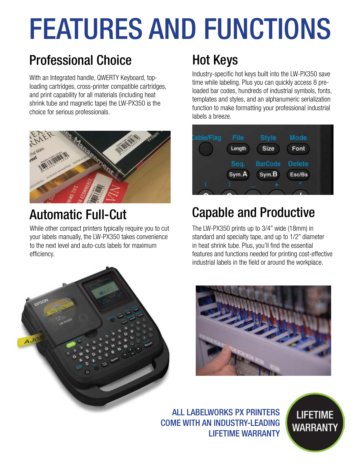# FEATURES AND FUNCTIONS

# **Professional Choice Hot Keys**

With an Integrated handle, QWERTY Keyboard, toploading cartridges, cross-printer compatible cartridges, and print capability for all materials (including heat shrink tube and magnetic tape) the LW-PX350 is the choice for serious professionals.



# Automatic Full-Cut

While other compact printers typically require you to cut your labels manually, the LW-PX350 takes convenience to the next level and auto-cuts labels for maximum efficiency.



Industry-specific hot keys built into the LW-PX350 save time while labeling. Plus you can quickly access 8 preloaded bar codes, hundreds of industrial symbols, fonts, templates and styles, and an alphanumeric serialization function to make formatting your professional industrial labels a breeze.



# Capable and Productive

The LW-PX350 prints up to 3/4" wide (18mm) in standard and specialty tape, and up to 1/2" diameter in heat shrink tube. Plus, you'll find the essential features and functions needed for printing cost-effective industrial labels in the field or around the workplace.



ALL LABELWORKS PX PRINTERS COME WITH AN INDUSTRY-LEADING LIFETIME WARRANTY

**LIFETIME WARRANTY**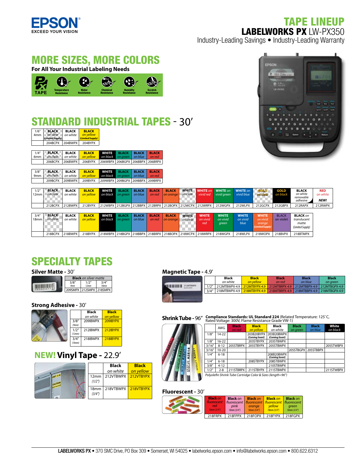

## TAPE LINEUP LABELWORKS PX LW-PX350

Industry-Leading Savings • Industry-Leading Warranty

## MORE SIZES, MORE COLORS

**For All Your Industrial Labeling Needs**



# STANDARD INDUSTRIAL TAPES - 30'

| 1/6''<br>4 <sub>mm</sub> | <b>BLACK</b><br>on clear<br>(Limited Supply) | <b>RIACK</b><br>on white | <b>BI ACK</b><br>on yellow<br>(Limited Supply) |
|--------------------------|----------------------------------------------|--------------------------|------------------------------------------------|
|                          | 204BCPX                                      | 204BWPX                  | 204BYPX                                        |

| $\vert$ 1/4" BLACK BLACK  | <b>BLACK WHITE BLACK BLACK BLACK</b>                    |  |  |
|---------------------------|---------------------------------------------------------|--|--|
| 6mm   on clear   on white | <b>on yellow</b> on black on green on blue on red       |  |  |
|                           | 206BCPX 206BWPX 206BYPX 206WBPX 206BGPX 206BBPX 206BRPX |  |  |
|                           |                                                         |  |  |

| $3/8''$ BLACK BLACK | <b>BLACK</b><br>9mm on clear on white on yellow on black on green on blue on red | <b>WHITE</b> BLACK BLACK BLACK |  |  |
|---------------------|----------------------------------------------------------------------------------|--------------------------------|--|--|
|                     | 209BCPX 209BWPX 209BYPX 209WBPX 209BGPX 209BBPX 209BRPX                          |                                |  |  |



| 1/2"<br>12mm     | <b>BLACK</b><br>on clear | <b>BLACK</b><br>on white | <b>BLACK</b><br>on vellow | <b>WHITE</b><br>on black on areen | <b>BLACK</b> | <b>BLACK</b><br>$\vert$ on blue $\vert$ | <b>BLACK</b><br>on red | <b>BLACK</b><br>on orange | on clear     |              | <b>WHITE</b> WHITE on WHITE on<br>vivid red vivid areen         | <b>WHITE</b> on<br>vivid blue | GOLD<br>on dear | <b>GOLD</b><br>on black | <b>BLACK</b><br>on white<br>removable<br>adhesive | <b>RED</b><br>on white<br><b>NEW!</b> |
|------------------|--------------------------|--------------------------|---------------------------|-----------------------------------|--------------|-----------------------------------------|------------------------|---------------------------|--------------|--------------|-----------------------------------------------------------------|-------------------------------|-----------------|-------------------------|---------------------------------------------------|---------------------------------------|
|                  | 212BCPX                  | 212BWPX                  | 212BYPX                   |                                   |              |                                         |                        |                           |              |              | 212WBPX 212BGPX 212BBPX 212BRPX 212BOPX 212WCPX 212WRPX 212WGPX | 212WLPX                       | 212GCPX         | 212GBPX                 | 212RAPX                                           | 212RWPX                               |
|                  |                          |                          |                           |                                   |              |                                         |                        |                           |              |              |                                                                 |                               |                 |                         |                                                   |                                       |
| 3/4''            | <b>BLACK</b>             | <b>BLACK</b>             | <b>BLACK</b>              | <b>WHITE</b>                      | <b>BLACK</b> | <b>BLACK</b>                            | <b>BLACK</b>           | <b>BLACK</b>              | <b>WHITE</b> | <b>WHITE</b> | <b>WHITE</b>                                                    | <b>WHITE</b>                  | <b>WHITE</b>    | <b>BLACK</b>            | <b>BLACK</b> on                                   |                                       |
| 18 <sub>mm</sub> | on clear                 | on white                 | on vellow                 | on black on areen                 |              | on blue                                 | on red                 | on orange                 | on clear     | on vivid     | on vivid                                                        | on vivid                      | on vivid        | on violet               | translucent                                       |                                       |
|                  |                          |                          |                           |                                   |              |                                         |                        |                           |              | red          | areen                                                           | blue                          | orange          |                         | matte                                             |                                       |

|  |              |        |         |         |         |         |        |         | .      | ,,,,,,  | <u>onac</u> | ,,,,,,,, |         | 111000<br>Umited Supply. |
|--|--------------|--------|---------|---------|---------|---------|--------|---------|--------|---------|-------------|----------|---------|--------------------------|
|  | 0000y<br>18B | 18BWPX | 218BYPX | 218WBPX | 218BGP) | 218BRPX | 18BOPX | 218WCPY | 18WRPY | 218WGPX | 218WLPX     | 218WOPX  | 218BVPX | 18BTMPX                  |
|  |              |        |         |         |         |         |        |         |        |         |             |          |         |                          |

# SPECIALTY TAPES

#### **Silver Matte -** 30'

|              | <b>Black</b> on silver matte |               |  |  |  |  |
|--------------|------------------------------|---------------|--|--|--|--|
| 3/8''<br>9mm | 1/2"<br>12mm                 | 3/4''<br>18mm |  |  |  |  |
|              | 209SMPX 212SMPX 218SMPX      |               |  |  |  |  |

#### **Strong Adhesive - 30'**

Silver matte designed for optimal use with bar code readers. Withstands extreme temperatures,

|                 | <b>Black</b> | <b>Black</b> |
|-----------------|--------------|--------------|
|                 | on white     | on yellow    |
| 3/8''<br>(9mm)  | 209IBWPX     | 209IBYPX     |
| 1/2"<br>(12mm)  | 212IBWPX     | 212IBYPX     |
| 3/4''<br>(18mm) | 218IBWPX     | 218IBYPX     |

### **NEW! Vinyl Tape -** 22.9'



#### **Magnetic Tape -** 4.9'

|       | <b>Black</b>                              | <b>Black</b> | <b>Black</b>                                                          | <b>Black</b> | <b>Black</b>                |
|-------|-------------------------------------------|--------------|-----------------------------------------------------------------------|--------------|-----------------------------|
|       | on white                                  | on vellow    | on red                                                                | on blue      | on areen                    |
| 1/2"  | 212MTBWPX-4.9 212MTBYPX-4.9 212MTBRPX-4.9 |              |                                                                       |              | 212MTBBPX-4.9 212MTBGPX-4.9 |
| 3/4'' |                                           |              | 218MTBWPX-4.9 218MTBYPX-4.9 218MTBRPX-4.9 218MTBBPX-4.9 218MTBGPX-4.9 |              |                             |
|       |                                           |              |                                                                       |              |                             |
|       |                                           |              |                                                                       |              |                             |

**Shrink Tube -** 96" Compliance Standards: UL Standard 224 (Related Temperature: 125°C, **Rated VIII** Fundal Oldiance Grade VW-1)



|        | <b>AWG</b> | <b>Black</b><br>on red | <b>Black</b><br>on vellow    | Black<br>on white            | <b>Black</b><br>on green | <b>Black</b><br>on blue | White<br>on black |
|--------|------------|------------------------|------------------------------|------------------------------|--------------------------|-------------------------|-------------------|
| 1/8''  | $14-22$    |                        | 203B20BYPX<br>(Coming Soon!) | 203B20BWPX<br>(Comina Soon!) |                          |                         |                   |
| 1/8''  | $16 - 22$  |                        | 203STBYPX                    | 203STBWPX                    |                          |                         |                   |
| 3/16'' | $8 - 12$   | 205STBRPX              | 205STBYPX                    | 205STBWPX                    |                          |                         | 205STWBPX         |
| 3/16'' | $10 - 20$  |                        |                              |                              | 205STBGPX                | 205STBBPX               |                   |
| 1/4''  | $6 - 18$   |                        |                              | 208B20BWPX<br>(Comina Soon!) |                          |                         |                   |
| 1/4''  | $6 - 18$   |                        | 208STBYPX                    | 208STBWPX                    |                          |                         |                   |
| 3/8''  | $4 - 12$   |                        |                              | 210STBWPX                    |                          |                         |                   |
| 1/2"   | $2 - 8$    | 211STBRPX              | 211STBYPX                    | 211STBWPX                    |                          |                         | 211STWBPX         |

*Polyole n Shrink Tube Cartridge Color & Sizes (length=96")*

#### **Fluorescent -** 30'

٠

| <b>Black on</b><br>fluorescent<br>red<br>$18mm(3/4^{n})$ | <b>Black on</b><br>pink<br>18mm(3/4") | <b>Black on</b><br>fluorescent   fluorescent   fluorescent   fluorescent<br>orange<br>18mm(3/4") | <b>Black on</b><br>vellow<br>$18$ mm $(3/4^{\circ})$ | <b>Black on</b><br>areen<br>$18mm(3/4^{\circ})$ |
|----------------------------------------------------------|---------------------------------------|--------------------------------------------------------------------------------------------------|------------------------------------------------------|-------------------------------------------------|
| 218FRPX                                                  | 218FPPX                               | $218$ FOPX                                                                                       | 218FYPX                                              | 218FGPX                                         |